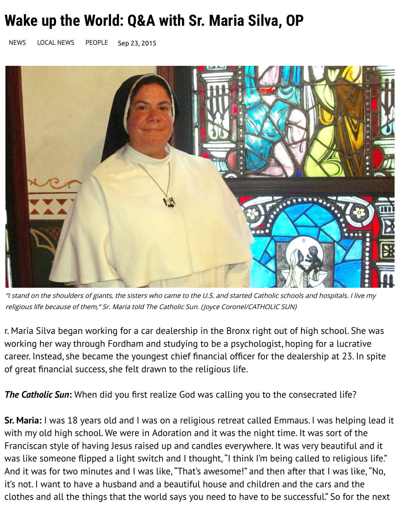

"I stand on the shoulders of giants, the sisters who came to the U.S. and started Catholic schools and hospital religious life because of them," Sr. Maria told The Catholic Sun. (Joyce Coronel/CATHOLIC SUN)

r. Maria Silva began working for a car dealership in the Bronx right out of high scho working her way through Fordham and studying to be a psychologist, hoping for a l career. Instead, she became the youngest chief financial officer for the dealership at of great financial success, she felt drawn to the religious life.

**The Catholic Sun:** When did you first realize God was calling you to the consecrated

**Sr. Maria:** I was 18 years old and I was on a religious retreat called Emmaus. I was h with my old high school. We were in Adoration and it was the night time. It was sort Franciscan style of having Jesus raised up and candles everywhere. It was very beau was like someone flipped a light switch and I thought, "I think I'm being called to re And it was for two minutes and I was like, "That's awesome!" and then after that I w it's not. I want to have a husband and a beautiful house and children and the cars and clothes and all the things that the world says you need to have to be successful." So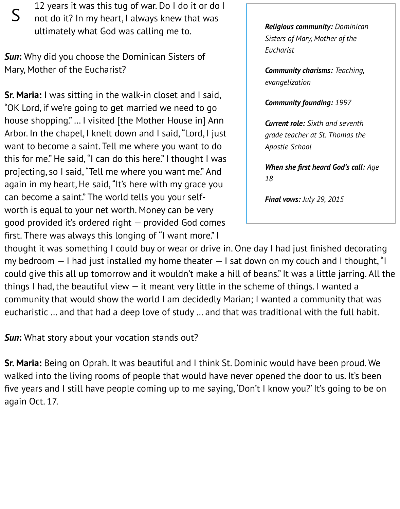Mary, Mother of the Eucharist?

**Sr. Maria:** I was sitting in the walk-in closet and I said, "OK Lord, if we're going to get married we need to go house shopping." … I visited [the Mother House in] Ann Arbor. In the chapel, I knelt down and I said, "Lord, I just want to become a saint. Tell me where you want to do this for me." He said, "I can do this here." I thought I was projecting, so I said, "Tell me where you want me." And again in my heart, He said, "It's here with my grace you can become a saint." The world tells you your selfworth is equal to your net worth. Money can be very good provided it's ordered right — provided God comes first. There was always this longing of "I want more." I

*When she first heard God 18 Final vows: July 29, 2015*

thought it was something I could buy or wear or drive in. One day I had just finished my bedroom  $-1$  had just installed my home theater  $-1$  sat down on my couch and could give this all up tomorrow and it wouldn't make a hill of beans." It was a little j things I had, the beautiful view  $-$  it meant very little in the scheme of things. I want community that would show the world I am decidedly Marian; I wanted a communit eucharistic ... and that had a deep love of study ... and that was traditional with the

*Sun***:** What story about your vocation stands out?

**Sr. Maria:** Being on Oprah. It was beautiful and I think St. Dominic would have been walked into the living rooms of people that would have never opened the door to u five years and I still have people coming up to me saying, 'Don't I know you?' It's going again Oct. 17.

*Community charisms:* Teaching *evangelization*

**[Community founding:](https://www.sistersofmary.org/)** 1

**Current role:** Sixth and *grade teacher at St. Tho Apostle School*